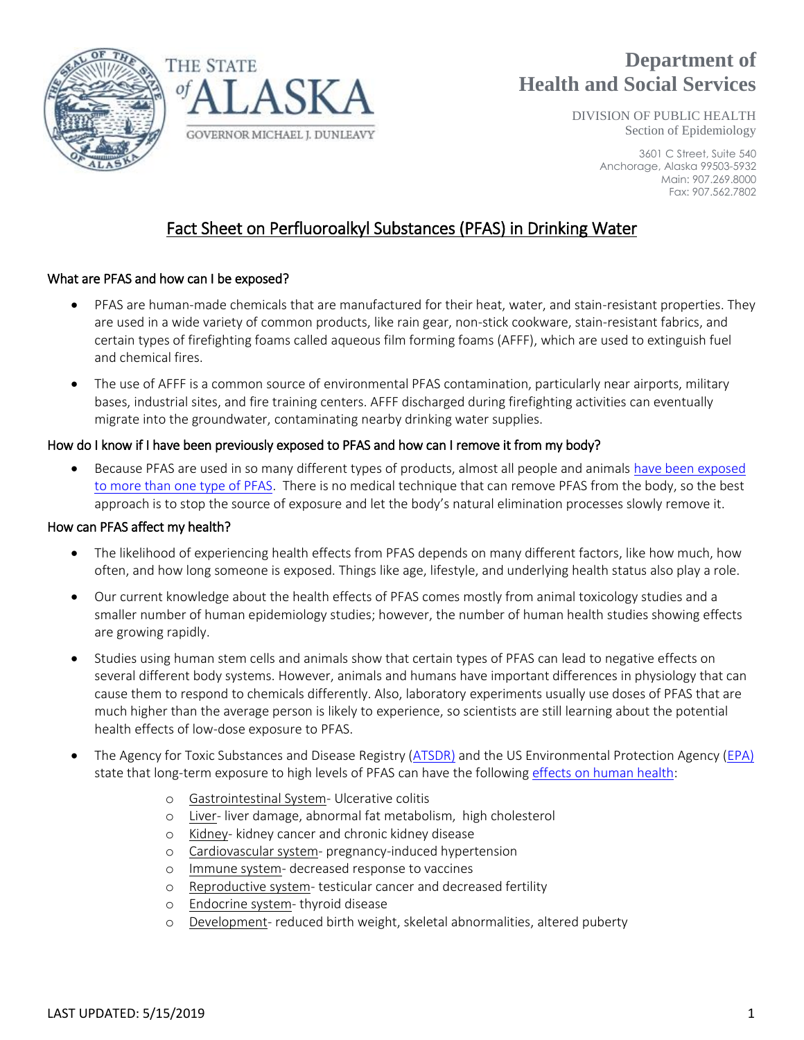



# **Department of Health and Social Services**

DIVISION OF PUBLIC HEALTH Section of Epidemiology

> 3601 C Street, Suite 540 Anchorage, Alaska 99503-5932 Main: 907.269.8000 Fax: 907.562.7802

# Fact Sheet on Perfluoroalkyl Substances (PFAS) in Drinking Water

# What are PFAS and how can I be exposed?

- PFAS are human-made chemicals that are manufactured for their heat, water, and stain-resistant properties. They are used in a wide variety of common products, like rain gear, non-stick cookware, stain-resistant fabrics, and certain types of firefighting foams called aqueous film forming foams (AFFF), which are used to extinguish fuel and chemical fires.
- The use of AFFF is a common source of environmental PFAS contamination, particularly near airports, military bases, industrial sites, and fire training centers. AFFF discharged during firefighting activities can eventually migrate into the groundwater, contaminating nearby drinking water supplies.

# How do I know if I have been previously exposed to PFAS and how can I remove it from my body?

 Because PFAS are used in so many different types of products, almost all people and animal[s have been exposed](https://www.atsdr.cdc.gov/pfas/pfas-blood-testing.html)  [to more than one type of PFAS.](https://www.atsdr.cdc.gov/pfas/pfas-blood-testing.html) There is no medical technique that can remove PFAS from the body, so the best approach is to stop the source of exposure and let the body's natural elimination processes slowly remove it.

## How can PFAS affect my health?

- The likelihood of experiencing health effects from PFAS depends on many different factors, like how much, how often, and how long someone is exposed. Things like age, lifestyle, and underlying health status also play a role.
- Our current knowledge about the health effects of PFAS comes mostly from animal toxicology studies and a smaller number of human epidemiology studies; however, the number of human health studies showing effects are growing rapidly.
- Studies using human stem cells and animals show that certain types of PFAS can lead to negative effects on several different body systems. However, animals and humans have important differences in physiology that can cause them to respond to chemicals differently. Also, laboratory experiments usually use doses of PFAS that are much higher than the average person is likely to experience, so scientists are still learning about the potential health effects of low-dose exposure to PFAS.
- The Agency for Toxic Substances and Disease Registry [\(ATSDR\)](https://www.atsdr.cdc.gov/ToxProfiles/tp.asp?id=1117&tid=237) and the US Environmental Protection Agency [\(EPA\)](file:///C:/Users/knbridges/AppData/Local/Microsoft/Windows/INetCache/Content.Outlook/1LLMBFBG/PFAS%20Action%20Plan_021319_508compliant%20(1).pdf) state that long-term exposure to high levels of PFAS can have the following [effects on human health:](http://www.c8sciencepanel.org/prob_link.html)
	- o Gastrointestinal System- Ulcerative colitis
	- o Liver- liver damage, abnormal fat metabolism, high cholesterol
	- o Kidney- kidney cancer and chronic kidney disease
	- o Cardiovascular system- pregnancy-induced hypertension
	- o Immune system- decreased response to vaccines
	- o Reproductive system- testicular cancer and decreased fertility
	- o Endocrine system- thyroid disease
	- o Development- reduced birth weight, skeletal abnormalities, altered puberty